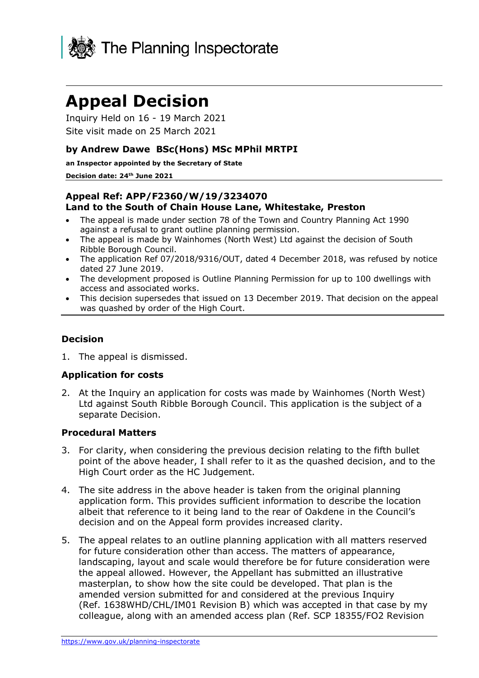

# **Appeal Decision**

Inquiry Held on 16 - 19 March 2021 Site visit made on 25 March 2021

#### **by Andrew Dawe BSc(Hons) MSc MPhil MRTPI**

**an Inspector appointed by the Secretary of State** 

#### **Decision date: 24th June 2021**

#### **Appeal Ref: APP/F2360/W/19/3234070 Land to the South of Chain House Lane, Whitestake, Preston**

- The appeal is made under section 78 of the Town and Country Planning Act 1990 against a refusal to grant outline planning permission.
- The appeal is made by Wainhomes (North West) Ltd against the decision of South Ribble Borough Council.
- The application Ref 07/2018/9316/OUT, dated 4 December 2018, was refused by notice dated 27 June 2019.
- The development proposed is Outline Planning Permission for up to 100 dwellings with access and associated works.
- This decision supersedes that issued on 13 December 2019. That decision on the appeal was quashed by order of the High Court.

#### **Decision**

1. The appeal is dismissed.

#### **Application for costs**

2. At the Inquiry an application for costs was made by Wainhomes (North West) Ltd against South Ribble Borough Council. This application is the subject of a separate Decision.

#### **Procedural Matters**

- 3. For clarity, when considering the previous decision relating to the fifth bullet point of the above header, I shall refer to it as the quashed decision, and to the High Court order as the HC Judgement.
- 4. The site address in the above header is taken from the original planning application form. This provides sufficient information to describe the location albeit that reference to it being land to the rear of Oakdene in the Council's decision and on the Appeal form provides increased clarity.
- 5. The appeal relates to an outline planning application with all matters reserved for future consideration other than access. The matters of appearance, landscaping, layout and scale would therefore be for future consideration were the appeal allowed. However, the Appellant has submitted an illustrative masterplan, to show how the site could be developed. That plan is the amended version submitted for and considered at the previous Inquiry (Ref. 1638WHD/CHL/IM01 Revision B) which was accepted in that case by my colleague, along with an amended access plan (Ref. SCP 18355/FO2 Revision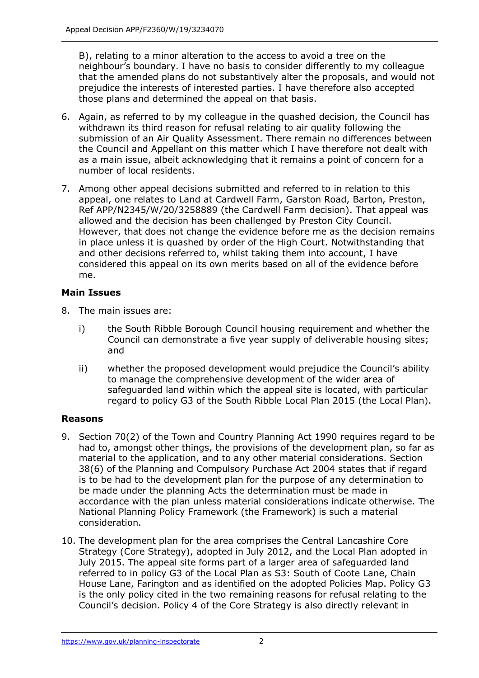B), relating to a minor alteration to the access to avoid a tree on the neighbour's boundary. I have no basis to consider differently to my colleague that the amended plans do not substantively alter the proposals, and would not prejudice the interests of interested parties. I have therefore also accepted those plans and determined the appeal on that basis.

- 6. Again, as referred to by my colleague in the quashed decision, the Council has withdrawn its third reason for refusal relating to air quality following the submission of an Air Quality Assessment. There remain no differences between the Council and Appellant on this matter which I have therefore not dealt with as a main issue, albeit acknowledging that it remains a point of concern for a number of local residents.
- 7. Among other appeal decisions submitted and referred to in relation to this appeal, one relates to Land at Cardwell Farm, Garston Road, Barton, Preston, Ref APP/N2345/W/20/3258889 (the Cardwell Farm decision). That appeal was allowed and the decision has been challenged by Preston City Council. However, that does not change the evidence before me as the decision remains in place unless it is quashed by order of the High Court. Notwithstanding that and other decisions referred to, whilst taking them into account, I have considered this appeal on its own merits based on all of the evidence before me.

## **Main Issues**

- 8. The main issues are:
	- i) the South Ribble Borough Council housing requirement and whether the Council can demonstrate a five year supply of deliverable housing sites; and
	- ii) whether the proposed development would prejudice the Council's ability to manage the comprehensive development of the wider area of safeguarded land within which the appeal site is located, with particular regard to policy G3 of the South Ribble Local Plan 2015 (the Local Plan).

# **Reasons**

- 9. Section 70(2) of the Town and Country Planning Act 1990 requires regard to be had to, amongst other things, the provisions of the development plan, so far as material to the application, and to any other material considerations. Section 38(6) of the Planning and Compulsory Purchase Act 2004 states that if regard is to be had to the development plan for the purpose of any determination to be made under the planning Acts the determination must be made in accordance with the plan unless material considerations indicate otherwise. The National Planning Policy Framework (the Framework) is such a material consideration.
- 10. The development plan for the area comprises the Central Lancashire Core Strategy (Core Strategy), adopted in July 2012, and the Local Plan adopted in July 2015. The appeal site forms part of a larger area of safeguarded land referred to in policy G3 of the Local Plan as S3: South of Coote Lane, Chain House Lane, Farington and as identified on the adopted Policies Map. Policy G3 is the only policy cited in the two remaining reasons for refusal relating to the Council's decision. Policy 4 of the Core Strategy is also directly relevant in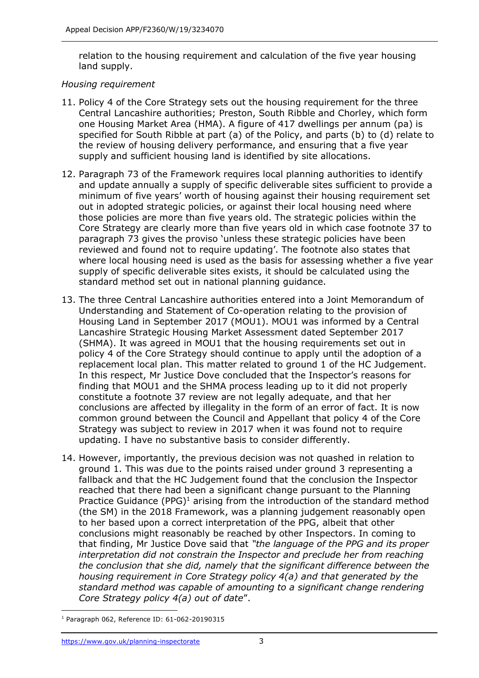relation to the housing requirement and calculation of the five year housing land supply.

#### *Housing requirement*

- 11. Policy 4 of the Core Strategy sets out the housing requirement for the three Central Lancashire authorities; Preston, South Ribble and Chorley, which form one Housing Market Area (HMA). A figure of 417 dwellings per annum (pa) is specified for South Ribble at part (a) of the Policy, and parts (b) to (d) relate to the review of housing delivery performance, and ensuring that a five year supply and sufficient housing land is identified by site allocations.
- 12. Paragraph 73 of the Framework requires local planning authorities to identify and update annually a supply of specific deliverable sites sufficient to provide a minimum of five years' worth of housing against their housing requirement set out in adopted strategic policies, or against their local housing need where those policies are more than five years old. The strategic policies within the Core Strategy are clearly more than five years old in which case footnote 37 to paragraph 73 gives the proviso 'unless these strategic policies have been reviewed and found not to require updating'. The footnote also states that where local housing need is used as the basis for assessing whether a five year supply of specific deliverable sites exists, it should be calculated using the standard method set out in national planning guidance.
- 13. The three Central Lancashire authorities entered into a Joint Memorandum of Understanding and Statement of Co-operation relating to the provision of Housing Land in September 2017 (MOU1). MOU1 was informed by a Central Lancashire Strategic Housing Market Assessment dated September 2017 (SHMA). It was agreed in MOU1 that the housing requirements set out in policy 4 of the Core Strategy should continue to apply until the adoption of a replacement local plan. This matter related to ground 1 of the HC Judgement. In this respect, Mr Justice Dove concluded that the Inspector's reasons for finding that MOU1 and the SHMA process leading up to it did not properly constitute a footnote 37 review are not legally adequate, and that her conclusions are affected by illegality in the form of an error of fact. It is now common ground between the Council and Appellant that policy 4 of the Core Strategy was subject to review in 2017 when it was found not to require updating. I have no substantive basis to consider differently.
- 14. However, importantly, the previous decision was not quashed in relation to ground 1. This was due to the points raised under ground 3 representing a fallback and that the HC Judgement found that the conclusion the Inspector reached that there had been a significant change pursuant to the Planning Practice Guidance (PPG)<sup>1</sup> arising from the introduction of the standard method (the SM) in the 2018 Framework, was a planning judgement reasonably open to her based upon a correct interpretation of the PPG, albeit that other conclusions might reasonably be reached by other Inspectors. In coming to that finding, Mr Justice Dove said that *"the language of the PPG and its proper*  interpretation did not constrain the Inspector and preclude her from reaching *the conclusion that she did, namely that the significant difference between the housing requirement in Core Strategy policy 4(a) and that generated by the standard method was capable of amounting to a significant change rendering Core Strategy policy 4(a) out of date*".

<sup>1</sup> Paragraph 062, Reference ID: 61-062-20190315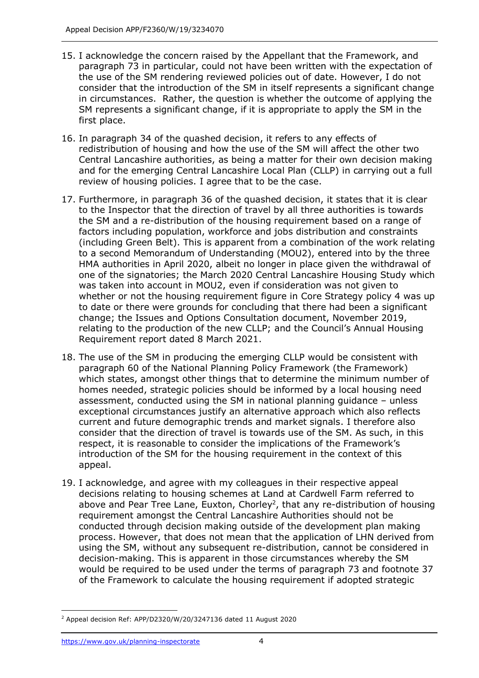- 15. I acknowledge the concern raised by the Appellant that the Framework, and paragraph 73 in particular, could not have been written with the expectation of the use of the SM rendering reviewed policies out of date. However, I do not consider that the introduction of the SM in itself represents a significant change in circumstances. Rather, the question is whether the outcome of applying the SM represents a significant change, if it is appropriate to apply the SM in the first place.
- 16. In paragraph 34 of the quashed decision, it refers to any effects of redistribution of housing and how the use of the SM will affect the other two Central Lancashire authorities, as being a matter for their own decision making and for the emerging Central Lancashire Local Plan (CLLP) in carrying out a full review of housing policies. I agree that to be the case.
- 17. Furthermore, in paragraph 36 of the quashed decision, it states that it is clear to the Inspector that the direction of travel by all three authorities is towards the SM and a re-distribution of the housing requirement based on a range of factors including population, workforce and jobs distribution and constraints (including Green Belt). This is apparent from a combination of the work relating to a second Memorandum of Understanding (MOU2), entered into by the three HMA authorities in April 2020, albeit no longer in place given the withdrawal of one of the signatories; the March 2020 Central Lancashire Housing Study which was taken into account in MOU2, even if consideration was not given to whether or not the housing requirement figure in Core Strategy policy 4 was up to date or there were grounds for concluding that there had been a significant change; the Issues and Options Consultation document, November 2019, relating to the production of the new CLLP; and the Council's Annual Housing Requirement report dated 8 March 2021.
- 18. The use of the SM in producing the emerging CLLP would be consistent with paragraph 60 of the National Planning Policy Framework (the Framework) which states, amongst other things that to determine the minimum number of homes needed, strategic policies should be informed by a local housing need assessment, conducted using the SM in national planning guidance – unless exceptional circumstances justify an alternative approach which also reflects current and future demographic trends and market signals. I therefore also consider that the direction of travel is towards use of the SM. As such, in this respect, it is reasonable to consider the implications of the Framework's introduction of the SM for the housing requirement in the context of this appeal.
- 19. I acknowledge, and agree with my colleagues in their respective appeal decisions relating to housing schemes at Land at Cardwell Farm referred to above and Pear Tree Lane, Euxton, Chorley<sup>2</sup>, that any re-distribution of housing requirement amongst the Central Lancashire Authorities should not be conducted through decision making outside of the development plan making process. However, that does not mean that the application of LHN derived from using the SM, without any subsequent re-distribution, cannot be considered in decision-making. This is apparent in those circumstances whereby the SM would be required to be used under the terms of paragraph 73 and footnote 37 of the Framework to calculate the housing requirement if adopted strategic

<sup>2</sup> Appeal decision Ref: APP/D2320/W/20/3247136 dated 11 August 2020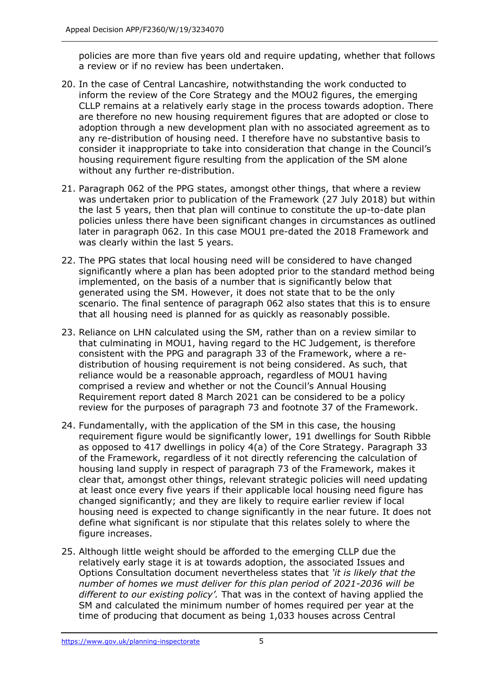policies are more than five years old and require updating, whether that follows a review or if no review has been undertaken.

- 20. In the case of Central Lancashire, notwithstanding the work conducted to inform the review of the Core Strategy and the MOU2 figures, the emerging CLLP remains at a relatively early stage in the process towards adoption. There are therefore no new housing requirement figures that are adopted or close to adoption through a new development plan with no associated agreement as to any re-distribution of housing need. I therefore have no substantive basis to consider it inappropriate to take into consideration that change in the Council's housing requirement figure resulting from the application of the SM alone without any further re-distribution.
- 21. Paragraph 062 of the PPG states, amongst other things, that where a review was undertaken prior to publication of the Framework (27 July 2018) but within the last 5 years, then that plan will continue to constitute the up-to-date plan policies unless there have been significant changes in circumstances as outlined later in paragraph 062. In this case MOU1 pre-dated the 2018 Framework and was clearly within the last 5 years.
- 22. The PPG states that local housing need will be considered to have changed significantly where a plan has been adopted prior to the standard method being implemented, on the basis of a number that is significantly below that generated using the SM. However, it does not state that to be the only scenario. The final sentence of paragraph 062 also states that this is to ensure that all housing need is planned for as quickly as reasonably possible.
- 23. Reliance on LHN calculated using the SM, rather than on a review similar to that culminating in MOU1, having regard to the HC Judgement, is therefore consistent with the PPG and paragraph 33 of the Framework, where a redistribution of housing requirement is not being considered. As such, that reliance would be a reasonable approach, regardless of MOU1 having comprised a review and whether or not the Council's Annual Housing Requirement report dated 8 March 2021 can be considered to be a policy review for the purposes of paragraph 73 and footnote 37 of the Framework.
- 24. Fundamentally, with the application of the SM in this case, the housing requirement figure would be significantly lower, 191 dwellings for South Ribble as opposed to 417 dwellings in policy 4(a) of the Core Strategy. Paragraph 33 of the Framework, regardless of it not directly referencing the calculation of housing land supply in respect of paragraph 73 of the Framework, makes it clear that, amongst other things, relevant strategic policies will need updating at least once every five years if their applicable local housing need figure has changed significantly; and they are likely to require earlier review if local housing need is expected to change significantly in the near future. It does not define what significant is nor stipulate that this relates solely to where the figure increases.
- 25. Although little weight should be afforded to the emerging CLLP due the relatively early stage it is at towards adoption, the associated Issues and Options Consultation document nevertheless states that *'it is likely that the number of homes we must deliver for this plan period of 2021-2036 will be different to our existing policy'.* That was in the context of having applied the SM and calculated the minimum number of homes required per year at the time of producing that document as being 1,033 houses across Central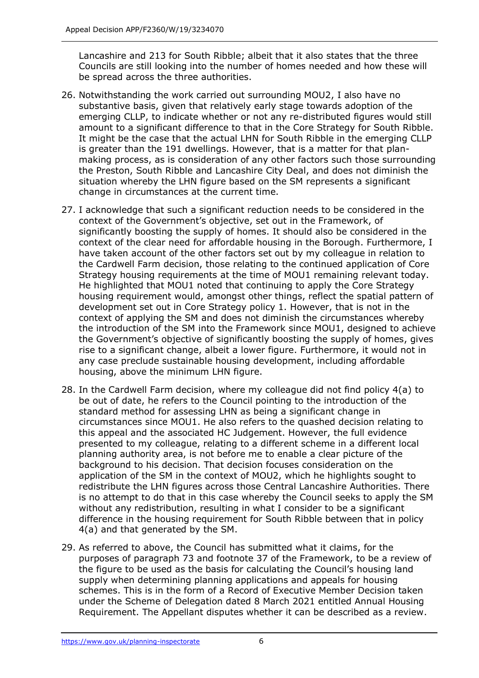Lancashire and 213 for South Ribble; albeit that it also states that the three Councils are still looking into the number of homes needed and how these will be spread across the three authorities.

- 26. Notwithstanding the work carried out surrounding MOU2, I also have no substantive basis, given that relatively early stage towards adoption of the emerging CLLP, to indicate whether or not any re-distributed figures would still amount to a significant difference to that in the Core Strategy for South Ribble. It might be the case that the actual LHN for South Ribble in the emerging CLLP is greater than the 191 dwellings. However, that is a matter for that planmaking process, as is consideration of any other factors such those surrounding the Preston, South Ribble and Lancashire City Deal, and does not diminish the situation whereby the LHN figure based on the SM represents a significant change in circumstances at the current time.
- 27. I acknowledge that such a significant reduction needs to be considered in the context of the Government's objective, set out in the Framework, of significantly boosting the supply of homes. It should also be considered in the context of the clear need for affordable housing in the Borough. Furthermore, I have taken account of the other factors set out by my colleague in relation to the Cardwell Farm decision, those relating to the continued application of Core Strategy housing requirements at the time of MOU1 remaining relevant today. He highlighted that MOU1 noted that continuing to apply the Core Strategy housing requirement would, amongst other things, reflect the spatial pattern of development set out in Core Strategy policy 1. However, that is not in the context of applying the SM and does not diminish the circumstances whereby the introduction of the SM into the Framework since MOU1, designed to achieve the Government's objective of significantly boosting the supply of homes, gives rise to a significant change, albeit a lower figure. Furthermore, it would not in any case preclude sustainable housing development, including affordable housing, above the minimum LHN figure.
- 28. In the Cardwell Farm decision, where my colleague did not find policy 4(a) to be out of date, he refers to the Council pointing to the introduction of the standard method for assessing LHN as being a significant change in circumstances since MOU1. He also refers to the quashed decision relating to this appeal and the associated HC Judgement. However, the full evidence presented to my colleague, relating to a different scheme in a different local planning authority area, is not before me to enable a clear picture of the background to his decision. That decision focuses consideration on the application of the SM in the context of MOU2, which he highlights sought to redistribute the LHN figures across those Central Lancashire Authorities. There is no attempt to do that in this case whereby the Council seeks to apply the SM without any redistribution, resulting in what I consider to be a significant difference in the housing requirement for South Ribble between that in policy 4(a) and that generated by the SM.
- 29. As referred to above, the Council has submitted what it claims, for the purposes of paragraph 73 and footnote 37 of the Framework, to be a review of the figure to be used as the basis for calculating the Council's housing land supply when determining planning applications and appeals for housing schemes. This is in the form of a Record of Executive Member Decision taken under the Scheme of Delegation dated 8 March 2021 entitled Annual Housing Requirement. The Appellant disputes whether it can be described as a review.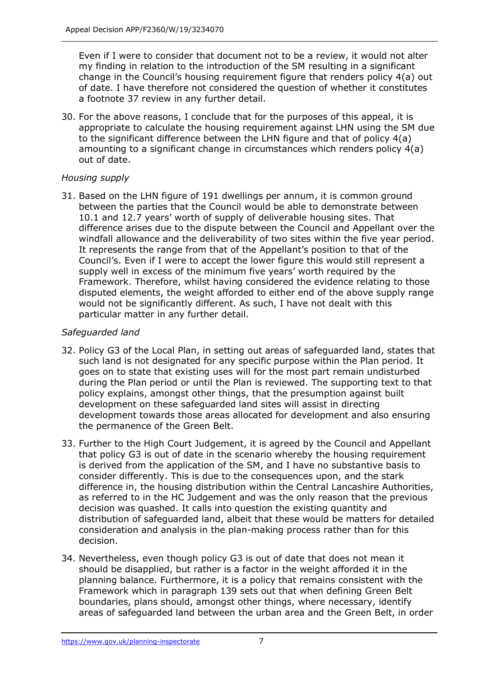Even if I were to consider that document not to be a review, it would not alter my finding in relation to the introduction of the SM resulting in a significant change in the Council's housing requirement figure that renders policy 4(a) out of date. I have therefore not considered the question of whether it constitutes a footnote 37 review in any further detail.

30. For the above reasons, I conclude that for the purposes of this appeal, it is appropriate to calculate the housing requirement against LHN using the SM due to the significant difference between the LHN figure and that of policy 4(a) amounting to a significant change in circumstances which renders policy 4(a) out of date.

## *Housing supply*

31. Based on the LHN figure of 191 dwellings per annum, it is common ground between the parties that the Council would be able to demonstrate between 10.1 and 12.7 years' worth of supply of deliverable housing sites. That difference arises due to the dispute between the Council and Appellant over the windfall allowance and the deliverability of two sites within the five year period. It represents the range from that of the Appellant's position to that of the Council's. Even if I were to accept the lower figure this would still represent a supply well in excess of the minimum five years' worth required by the Framework. Therefore, whilst having considered the evidence relating to those disputed elements, the weight afforded to either end of the above supply range would not be significantly different. As such, I have not dealt with this particular matter in any further detail.

#### *Safeguarded land*

- 32. Policy G3 of the Local Plan, in setting out areas of safeguarded land, states that such land is not designated for any specific purpose within the Plan period. It goes on to state that existing uses will for the most part remain undisturbed during the Plan period or until the Plan is reviewed. The supporting text to that policy explains, amongst other things, that the presumption against built development on these safeguarded land sites will assist in directing development towards those areas allocated for development and also ensuring the permanence of the Green Belt.
- 33. Further to the High Court Judgement, it is agreed by the Council and Appellant that policy G3 is out of date in the scenario whereby the housing requirement is derived from the application of the SM, and I have no substantive basis to consider differently. This is due to the consequences upon, and the stark difference in, the housing distribution within the Central Lancashire Authorities, as referred to in the HC Judgement and was the only reason that the previous decision was quashed. It calls into question the existing quantity and distribution of safeguarded land, albeit that these would be matters for detailed consideration and analysis in the plan-making process rather than for this decision.
- 34. Nevertheless, even though policy G3 is out of date that does not mean it should be disapplied, but rather is a factor in the weight afforded it in the planning balance. Furthermore, it is a policy that remains consistent with the Framework which in paragraph 139 sets out that when defining Green Belt boundaries, plans should, amongst other things, where necessary, identify areas of safeguarded land between the urban area and the Green Belt, in order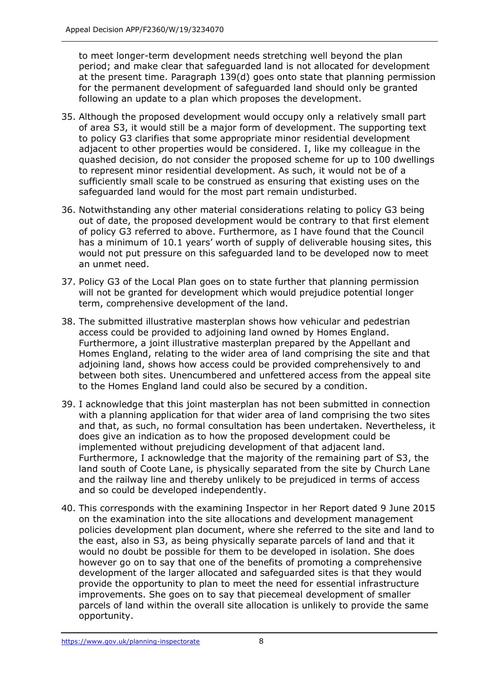to meet longer-term development needs stretching well beyond the plan period; and make clear that safeguarded land is not allocated for development at the present time. Paragraph 139(d) goes onto state that planning permission for the permanent development of safeguarded land should only be granted following an update to a plan which proposes the development.

- 35. Although the proposed development would occupy only a relatively small part of area S3, it would still be a major form of development. The supporting text to policy G3 clarifies that some appropriate minor residential development adjacent to other properties would be considered. I, like my colleague in the quashed decision, do not consider the proposed scheme for up to 100 dwellings to represent minor residential development. As such, it would not be of a sufficiently small scale to be construed as ensuring that existing uses on the safeguarded land would for the most part remain undisturbed.
- 36. Notwithstanding any other material considerations relating to policy G3 being out of date, the proposed development would be contrary to that first element of policy G3 referred to above. Furthermore, as I have found that the Council has a minimum of 10.1 years' worth of supply of deliverable housing sites, this would not put pressure on this safeguarded land to be developed now to meet an unmet need.
- 37. Policy G3 of the Local Plan goes on to state further that planning permission will not be granted for development which would prejudice potential longer term, comprehensive development of the land.
- 38. The submitted illustrative masterplan shows how vehicular and pedestrian access could be provided to adjoining land owned by Homes England. Furthermore, a joint illustrative masterplan prepared by the Appellant and Homes England, relating to the wider area of land comprising the site and that adjoining land, shows how access could be provided comprehensively to and between both sites. Unencumbered and unfettered access from the appeal site to the Homes England land could also be secured by a condition.
- 39. I acknowledge that this joint masterplan has not been submitted in connection with a planning application for that wider area of land comprising the two sites and that, as such, no formal consultation has been undertaken. Nevertheless, it does give an indication as to how the proposed development could be implemented without prejudicing development of that adjacent land. Furthermore, I acknowledge that the majority of the remaining part of S3, the land south of Coote Lane, is physically separated from the site by Church Lane and the railway line and thereby unlikely to be prejudiced in terms of access and so could be developed independently.
- 40. This corresponds with the examining Inspector in her Report dated 9 June 2015 on the examination into the site allocations and development management policies development plan document, where she referred to the site and land to the east, also in S3, as being physically separate parcels of land and that it would no doubt be possible for them to be developed in isolation. She does however go on to say that one of the benefits of promoting a comprehensive development of the larger allocated and safeguarded sites is that they would provide the opportunity to plan to meet the need for essential infrastructure improvements. She goes on to say that piecemeal development of smaller parcels of land within the overall site allocation is unlikely to provide the same opportunity.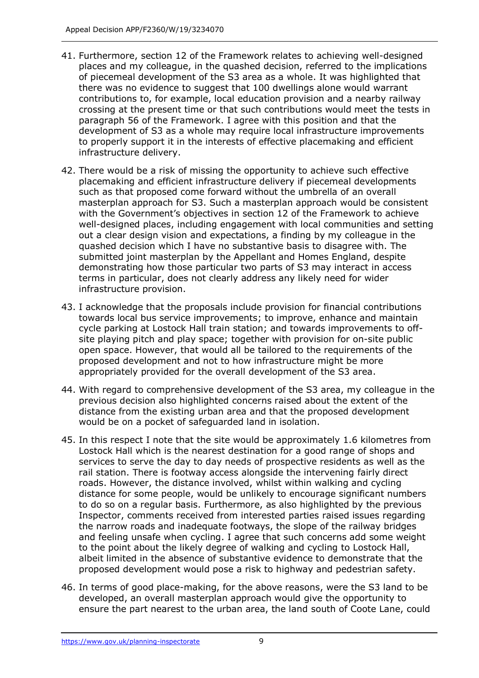- 41. Furthermore, section 12 of the Framework relates to achieving well-designed places and my colleague, in the quashed decision, referred to the implications of piecemeal development of the S3 area as a whole. It was highlighted that there was no evidence to suggest that 100 dwellings alone would warrant contributions to, for example, local education provision and a nearby railway crossing at the present time or that such contributions would meet the tests in paragraph 56 of the Framework. I agree with this position and that the development of S3 as a whole may require local infrastructure improvements to properly support it in the interests of effective placemaking and efficient infrastructure delivery.
- 42. There would be a risk of missing the opportunity to achieve such effective placemaking and efficient infrastructure delivery if piecemeal developments such as that proposed come forward without the umbrella of an overall masterplan approach for S3. Such a masterplan approach would be consistent with the Government's objectives in section 12 of the Framework to achieve well-designed places, including engagement with local communities and setting out a clear design vision and expectations, a finding by my colleague in the quashed decision which I have no substantive basis to disagree with. The submitted joint masterplan by the Appellant and Homes England, despite demonstrating how those particular two parts of S3 may interact in access terms in particular, does not clearly address any likely need for wider infrastructure provision.
- 43. I acknowledge that the proposals include provision for financial contributions towards local bus service improvements; to improve, enhance and maintain cycle parking at Lostock Hall train station; and towards improvements to offsite playing pitch and play space; together with provision for on-site public open space. However, that would all be tailored to the requirements of the proposed development and not to how infrastructure might be more appropriately provided for the overall development of the S3 area.
- 44. With regard to comprehensive development of the S3 area, my colleague in the previous decision also highlighted concerns raised about the extent of the distance from the existing urban area and that the proposed development would be on a pocket of safeguarded land in isolation.
- 45. In this respect I note that the site would be approximately 1.6 kilometres from Lostock Hall which is the nearest destination for a good range of shops and services to serve the day to day needs of prospective residents as well as the rail station. There is footway access alongside the intervening fairly direct roads. However, the distance involved, whilst within walking and cycling distance for some people, would be unlikely to encourage significant numbers to do so on a regular basis. Furthermore, as also highlighted by the previous Inspector, comments received from interested parties raised issues regarding the narrow roads and inadequate footways, the slope of the railway bridges and feeling unsafe when cycling. I agree that such concerns add some weight to the point about the likely degree of walking and cycling to Lostock Hall, albeit limited in the absence of substantive evidence to demonstrate that the proposed development would pose a risk to highway and pedestrian safety.
- 46. In terms of good place-making, for the above reasons, were the S3 land to be developed, an overall masterplan approach would give the opportunity to ensure the part nearest to the urban area, the land south of Coote Lane, could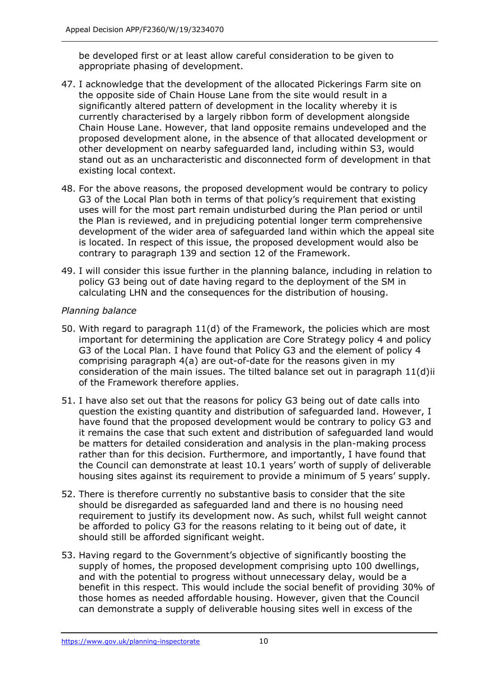be developed first or at least allow careful consideration to be given to appropriate phasing of development.

- 47. I acknowledge that the development of the allocated Pickerings Farm site on the opposite side of Chain House Lane from the site would result in a significantly altered pattern of development in the locality whereby it is currently characterised by a largely ribbon form of development alongside Chain House Lane. However, that land opposite remains undeveloped and the proposed development alone, in the absence of that allocated development or other development on nearby safeguarded land, including within S3, would stand out as an uncharacteristic and disconnected form of development in that existing local context.
- 48. For the above reasons, the proposed development would be contrary to policy G3 of the Local Plan both in terms of that policy's requirement that existing uses will for the most part remain undisturbed during the Plan period or until the Plan is reviewed, and in prejudicing potential longer term comprehensive development of the wider area of safeguarded land within which the appeal site is located. In respect of this issue, the proposed development would also be contrary to paragraph 139 and section 12 of the Framework.
- 49. I will consider this issue further in the planning balance, including in relation to policy G3 being out of date having regard to the deployment of the SM in calculating LHN and the consequences for the distribution of housing.

#### *Planning balance*

- 50. With regard to paragraph 11(d) of the Framework, the policies which are most important for determining the application are Core Strategy policy 4 and policy G3 of the Local Plan. I have found that Policy G3 and the element of policy 4 comprising paragraph 4(a) are out-of-date for the reasons given in my consideration of the main issues. The tilted balance set out in paragraph 11(d)ii of the Framework therefore applies.
- 51. I have also set out that the reasons for policy G3 being out of date calls into question the existing quantity and distribution of safeguarded land. However, I have found that the proposed development would be contrary to policy G3 and it remains the case that such extent and distribution of safeguarded land would be matters for detailed consideration and analysis in the plan-making process rather than for this decision. Furthermore, and importantly, I have found that the Council can demonstrate at least 10.1 years' worth of supply of deliverable housing sites against its requirement to provide a minimum of 5 years' supply.
- 52. There is therefore currently no substantive basis to consider that the site should be disregarded as safeguarded land and there is no housing need requirement to justify its development now. As such, whilst full weight cannot be afforded to policy G3 for the reasons relating to it being out of date, it should still be afforded significant weight.
- 53. Having regard to the Government's objective of significantly boosting the supply of homes, the proposed development comprising upto 100 dwellings, and with the potential to progress without unnecessary delay, would be a benefit in this respect. This would include the social benefit of providing 30% of those homes as needed affordable housing. However, given that the Council can demonstrate a supply of deliverable housing sites well in excess of the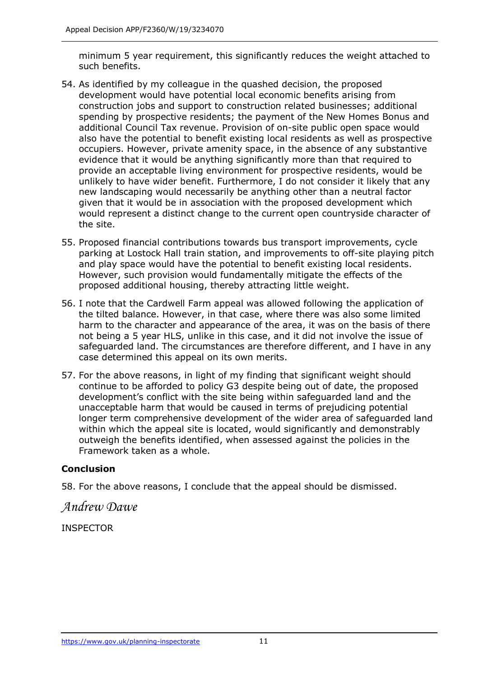minimum 5 year requirement, this significantly reduces the weight attached to such benefits.

- 54. As identified by my colleague in the quashed decision, the proposed development would have potential local economic benefits arising from construction jobs and support to construction related businesses; additional spending by prospective residents; the payment of the New Homes Bonus and additional Council Tax revenue. Provision of on-site public open space would also have the potential to benefit existing local residents as well as prospective occupiers. However, private amenity space, in the absence of any substantive evidence that it would be anything significantly more than that required to provide an acceptable living environment for prospective residents, would be unlikely to have wider benefit. Furthermore, I do not consider it likely that any new landscaping would necessarily be anything other than a neutral factor given that it would be in association with the proposed development which would represent a distinct change to the current open countryside character of the site.
- 55. Proposed financial contributions towards bus transport improvements, cycle parking at Lostock Hall train station, and improvements to off-site playing pitch and play space would have the potential to benefit existing local residents. However, such provision would fundamentally mitigate the effects of the proposed additional housing, thereby attracting little weight.
- 56. I note that the Cardwell Farm appeal was allowed following the application of the tilted balance. However, in that case, where there was also some limited harm to the character and appearance of the area, it was on the basis of there not being a 5 year HLS, unlike in this case, and it did not involve the issue of safeguarded land. The circumstances are therefore different, and I have in any case determined this appeal on its own merits.
- 57. For the above reasons, in light of my finding that significant weight should continue to be afforded to policy G3 despite being out of date, the proposed development's conflict with the site being within safeguarded land and the unacceptable harm that would be caused in terms of prejudicing potential longer term comprehensive development of the wider area of safeguarded land within which the appeal site is located, would significantly and demonstrably outweigh the benefits identified, when assessed against the policies in the Framework taken as a whole.

## **Conclusion**

58. For the above reasons, I conclude that the appeal should be dismissed.

## *Andrew Dawe*

INSPECTOR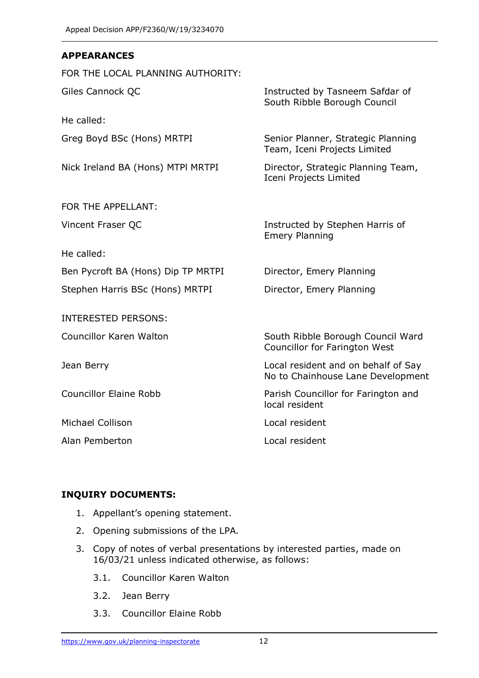#### **APPEARANCES**

FOR THE LOCAL PLANNING AUTHORITY:

He called:

Nick Ireland BA (Hons) MTPI MRTPI Director, Strategic Planning Team,

FOR THE APPELLANT:

He called:

Ben Pycroft BA (Hons) Dip TP MRTPI Director, Emery Planning

Stephen Harris BSc (Hons) MRTPI Director, Emery Planning

INTERESTED PERSONS:

Michael Collison **Local resident** 

Alan Pemberton Local resident

Giles Cannock QC **Instructed by Tasneem Safdar of** South Ribble Borough Council

Greg Boyd BSc (Hons) MRTPI Senior Planner, Strategic Planning Team, Iceni Projects Limited

Iceni Projects Limited

Vincent Fraser QC **Instructed by Stephen Harris of** Emery Planning

Councillor Karen Walton **South Ribble Borough Council Ward** Councillor for Farington West

Jean Berry Local resident and on behalf of Say No to Chainhouse Lane Development

Councillor Elaine Robb Parish Councillor for Farington and local resident

#### **INQUIRY DOCUMENTS:**

- 1. Appellant's opening statement.
- 2. Opening submissions of the LPA.
- 3. Copy of notes of verbal presentations by interested parties, made on 16/03/21 unless indicated otherwise, as follows:
	- 3.1. Councillor Karen Walton
	- 3.2. Jean Berry
	- 3.3. Councillor Elaine Robb